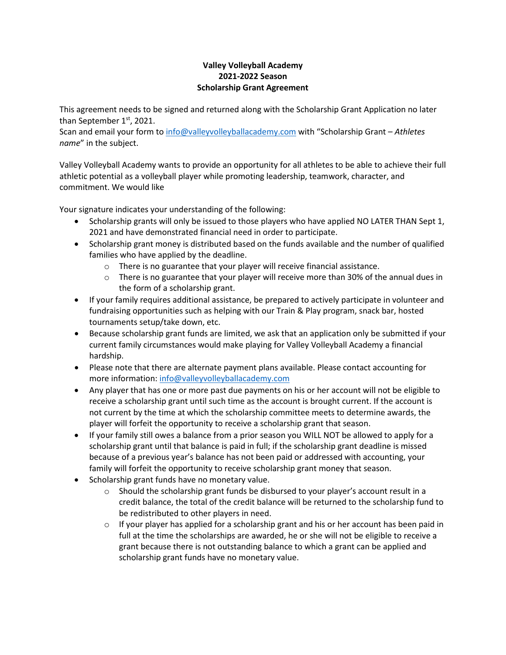## **Valley Volleyball Academy 2021-2022 Season Scholarship Grant Agreement**

This agreement needs to be signed and returned along with the Scholarship Grant Application no later than September  $1<sup>st</sup>$ , 2021.

Scan and email your form t[o info@valleyvolleyballacademy.com](mailto:info@valleyvolleyballacademy.com) with "Scholarship Grant – *Athletes name*" in the subject.

Valley Volleyball Academy wants to provide an opportunity for all athletes to be able to achieve their full athletic potential as a volleyball player while promoting leadership, teamwork, character, and commitment. We would like

Your signature indicates your understanding of the following:

- Scholarship grants will only be issued to those players who have applied NO LATER THAN Sept 1, 2021 and have demonstrated financial need in order to participate.
- Scholarship grant money is distributed based on the funds available and the number of qualified families who have applied by the deadline.
	- $\circ$  There is no guarantee that your player will receive financial assistance.
	- $\circ$  There is no guarantee that your player will receive more than 30% of the annual dues in the form of a scholarship grant.
- If your family requires additional assistance, be prepared to actively participate in volunteer and fundraising opportunities such as helping with our Train & Play program, snack bar, hosted tournaments setup/take down, etc.
- Because scholarship grant funds are limited, we ask that an application only be submitted if your current family circumstances would make playing for Valley Volleyball Academy a financial hardship.
- Please note that there are alternate payment plans available. Please contact accounting for more information: [info@valleyvolleyballacademy.com](mailto:info@valleyvolleyballacademy.com)
- Any player that has one or more past due payments on his or her account will not be eligible to receive a scholarship grant until such time as the account is brought current. If the account is not current by the time at which the scholarship committee meets to determine awards, the player will forfeit the opportunity to receive a scholarship grant that season.
- If your family still owes a balance from a prior season you WILL NOT be allowed to apply for a scholarship grant until that balance is paid in full; if the scholarship grant deadline is missed because of a previous year's balance has not been paid or addressed with accounting, your family will forfeit the opportunity to receive scholarship grant money that season.
- Scholarship grant funds have no monetary value.
	- $\circ$  Should the scholarship grant funds be disbursed to your player's account result in a credit balance, the total of the credit balance will be returned to the scholarship fund to be redistributed to other players in need.
	- $\circ$  If your player has applied for a scholarship grant and his or her account has been paid in full at the time the scholarships are awarded, he or she will not be eligible to receive a grant because there is not outstanding balance to which a grant can be applied and scholarship grant funds have no monetary value.